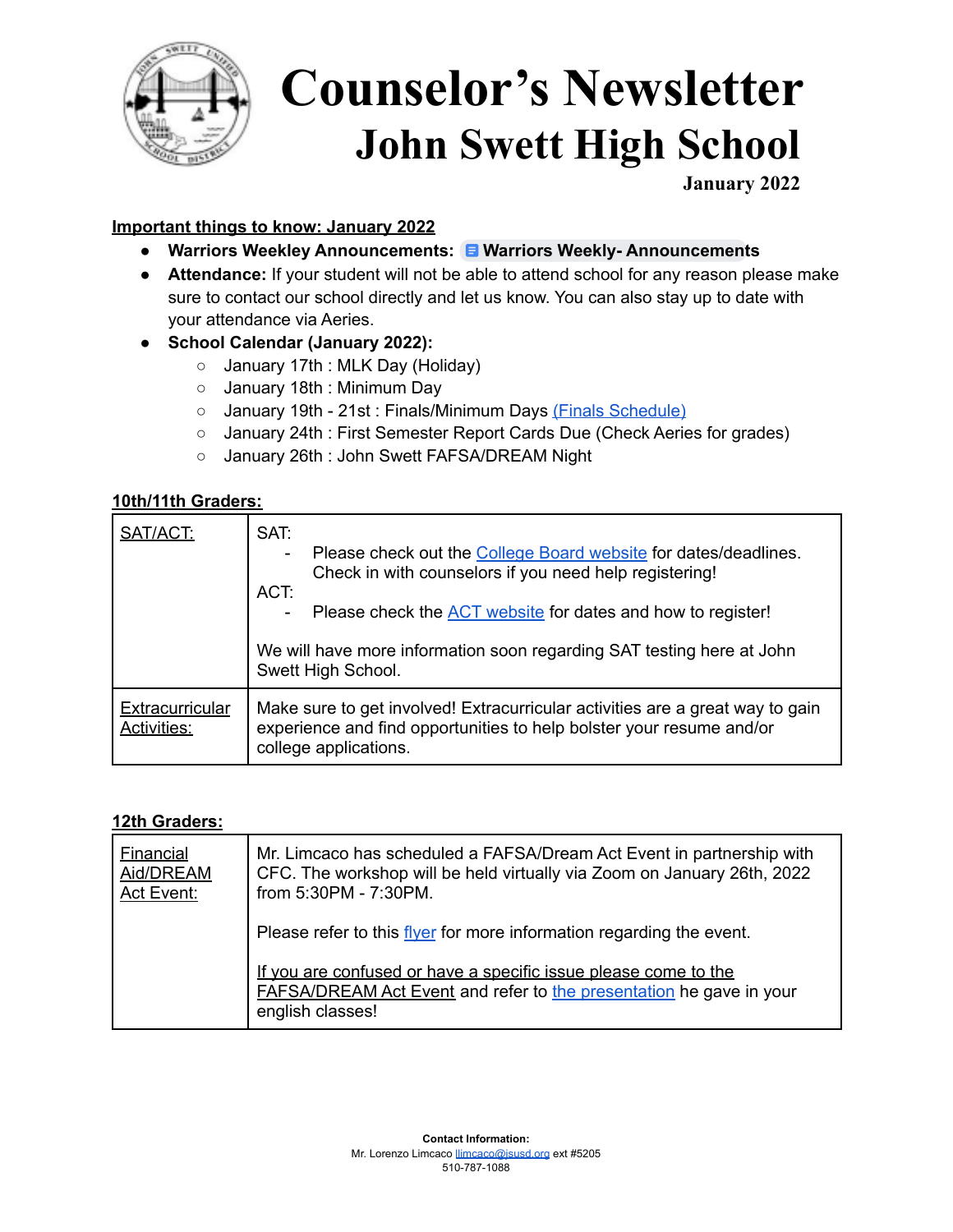

# **Counselor's Newsletter John Swett High School**

**January 2022**

### **Important things to know: January 2022**

- **Warriors Weekley [Announcement](https://docs.google.com/document/d/1K3AQzCxEy1ma2LP6mp3eJpgCqQN6lNk_0L-qEAfPHSY/edit?usp=sharing)s: Warriors Weekly-Announcements**
- **● Attendance:** If your student will not be able to attend school for any reason please make sure to contact our school directly and let us know. You can also stay up to date with your attendance via Aeries.
- **● School Calendar (January 2022):**
	- January 17th : MLK Day (Holiday)
	- January 18th : Minimum Day
	- January 19th 21st : Finals/Minimum Days (Finals [Schedule\)](https://drive.google.com/file/d/1LuBNhR9PP0k4atgabSu8ZecsIsbr7j9k/view?usp=sharing)
	- January 24th : First Semester Report Cards Due (Check Aeries for grades)
	- January 26th : John Swett FAFSA/DREAM Night

#### **10th/11th Graders:**

| SAT/ACT:                              | SAT:<br>Please check out the College Board website for dates/deadlines.<br>Check in with counselors if you need help registering!<br>ACT:<br>Please check the ACT website for dates and how to register!<br>We will have more information soon regarding SAT testing here at John<br>Swett High School. |
|---------------------------------------|---------------------------------------------------------------------------------------------------------------------------------------------------------------------------------------------------------------------------------------------------------------------------------------------------------|
| Extracurricular<br><b>Activities:</b> | Make sure to get involved! Extracurricular activities are a great way to gain<br>experience and find opportunities to help bolster your resume and/or<br>college applications.                                                                                                                          |

#### **12th Graders:**

| <b>Financial</b><br>Aid/DREAM<br>Act Event: | Mr. Limcaco has scheduled a FAFSA/Dream Act Event in partnership with<br>CFC. The workshop will be held virtually via Zoom on January 26th, 2022<br>from 5:30PM - 7:30PM. |
|---------------------------------------------|---------------------------------------------------------------------------------------------------------------------------------------------------------------------------|
|                                             | Please refer to this flyer for more information regarding the event.                                                                                                      |
|                                             | If you are confused or have a specific issue please come to the<br><b>FAFSA/DREAM Act Event and refer to the presentation he gave in your</b><br>english classes!         |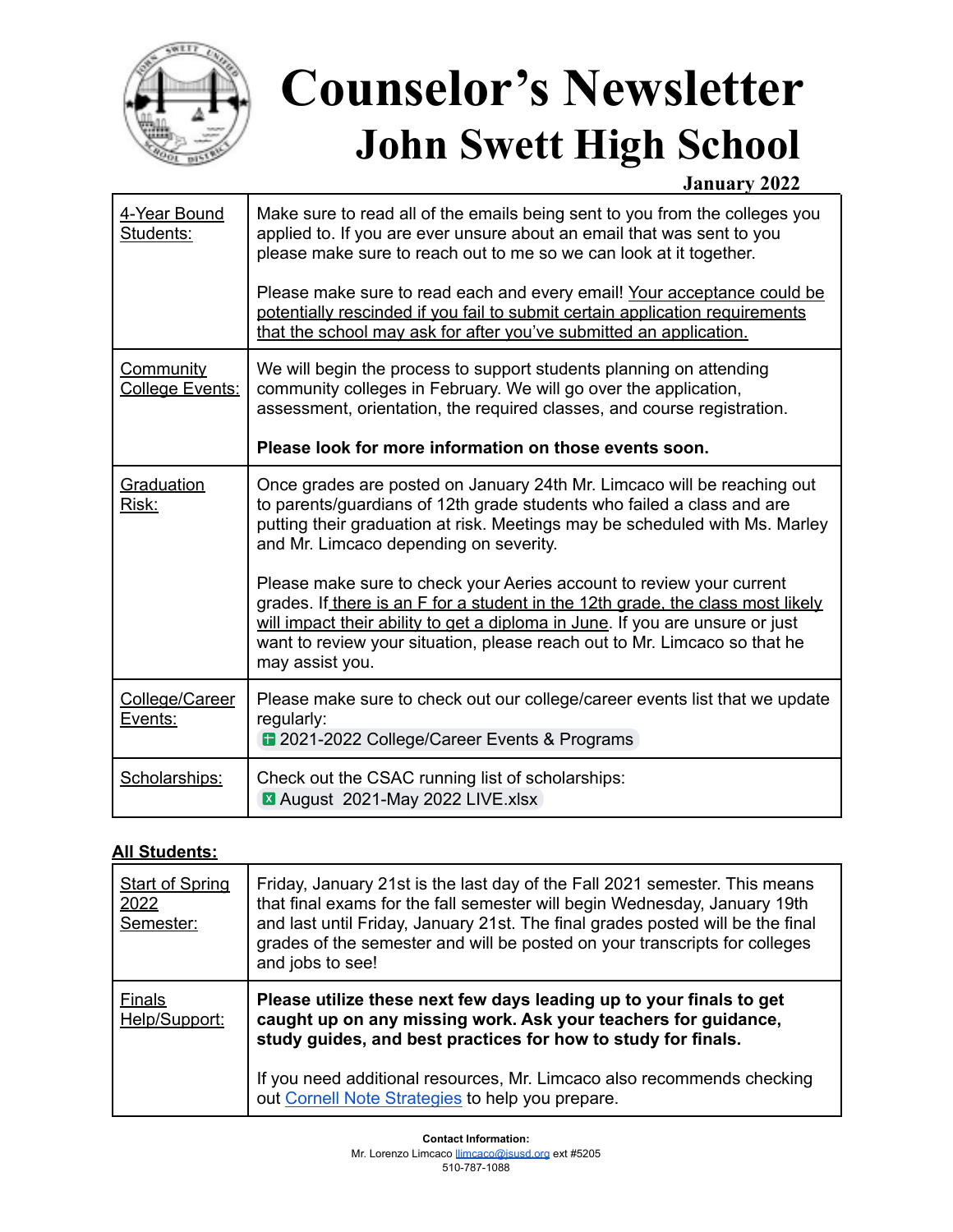

# **Counselor's Newsletter John Swett High School**

### **January 2022**

| 4-Year Bound<br>Students:    | Make sure to read all of the emails being sent to you from the colleges you<br>applied to. If you are ever unsure about an email that was sent to you<br>please make sure to reach out to me so we can look at it together.<br>Please make sure to read each and every email! Your acceptance could be                                   |
|------------------------------|------------------------------------------------------------------------------------------------------------------------------------------------------------------------------------------------------------------------------------------------------------------------------------------------------------------------------------------|
|                              | potentially rescinded if you fail to submit certain application requirements<br>that the school may ask for after you've submitted an application.                                                                                                                                                                                       |
| Community<br>College Events: | We will begin the process to support students planning on attending<br>community colleges in February. We will go over the application,<br>assessment, orientation, the required classes, and course registration.                                                                                                                       |
|                              | Please look for more information on those events soon.                                                                                                                                                                                                                                                                                   |
| Graduation<br>Risk:          | Once grades are posted on January 24th Mr. Limcaco will be reaching out<br>to parents/guardians of 12th grade students who failed a class and are<br>putting their graduation at risk. Meetings may be scheduled with Ms. Marley<br>and Mr. Limcaco depending on severity.                                                               |
|                              | Please make sure to check your Aeries account to review your current<br>grades. If there is an F for a student in the 12th grade, the class most likely<br>will impact their ability to get a diploma in June. If you are unsure or just<br>want to review your situation, please reach out to Mr. Limcaco so that he<br>may assist you. |
| College/Career<br>Events:    | Please make sure to check out our college/career events list that we update<br>regularly:<br>2021-2022 College/Career Events & Programs                                                                                                                                                                                                  |
| Scholarships:                | Check out the CSAC running list of scholarships:<br>August 2021-May 2022 LIVE.xlsx                                                                                                                                                                                                                                                       |

#### **All Students:**

| <b>Start of Spring</b><br>2022<br>Semester: | Friday, January 21st is the last day of the Fall 2021 semester. This means<br>that final exams for the fall semester will begin Wednesday, January 19th<br>and last until Friday, January 21st. The final grades posted will be the final<br>grades of the semester and will be posted on your transcripts for colleges<br>and jobs to see! |
|---------------------------------------------|---------------------------------------------------------------------------------------------------------------------------------------------------------------------------------------------------------------------------------------------------------------------------------------------------------------------------------------------|
| <b>Finals</b><br>Help/Support:              | Please utilize these next few days leading up to your finals to get<br>caught up on any missing work. Ask your teachers for guidance,<br>study guides, and best practices for how to study for finals.                                                                                                                                      |
|                                             | If you need additional resources, Mr. Limcaco also recommends checking<br>out Cornell Note Strategies to help you prepare.                                                                                                                                                                                                                  |